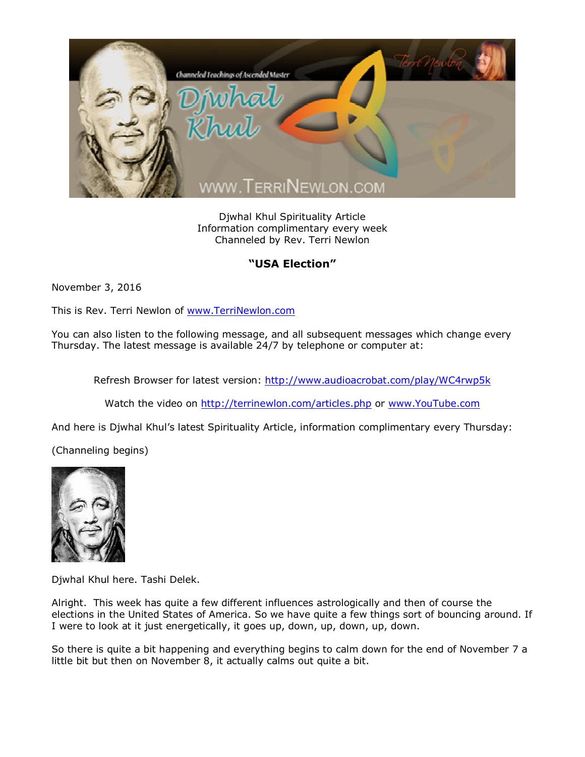

Djwhal Khul Spirituality Article Information complimentary every week Channeled by Rev. Terri Newlon

## **"USA Election"**

November 3, 2016

This is Rev. Terri Newlon of [www.TerriNewlon.com](http://www.terrinewlon.com/)

You can also listen to the following message, and all subsequent messages which change every Thursday. The latest message is available 24/7 by telephone or computer at:

Refresh Browser for latest version: <http://www.audioacrobat.com/play/WC4rwp5k>

Watch the video on <http://terrinewlon.com/articles.php> or [www.YouTube.com](http://www.youtube.com/)

And here is Djwhal Khul's latest Spirituality Article, information complimentary every Thursday:

(Channeling begins)



Djwhal Khul here. Tashi Delek.

Alright. This week has quite a few different influences astrologically and then of course the elections in the United States of America. So we have quite a few things sort of bouncing around. If I were to look at it just energetically, it goes up, down, up, down, up, down.

So there is quite a bit happening and everything begins to calm down for the end of November 7 a little bit but then on November 8, it actually calms out quite a bit.